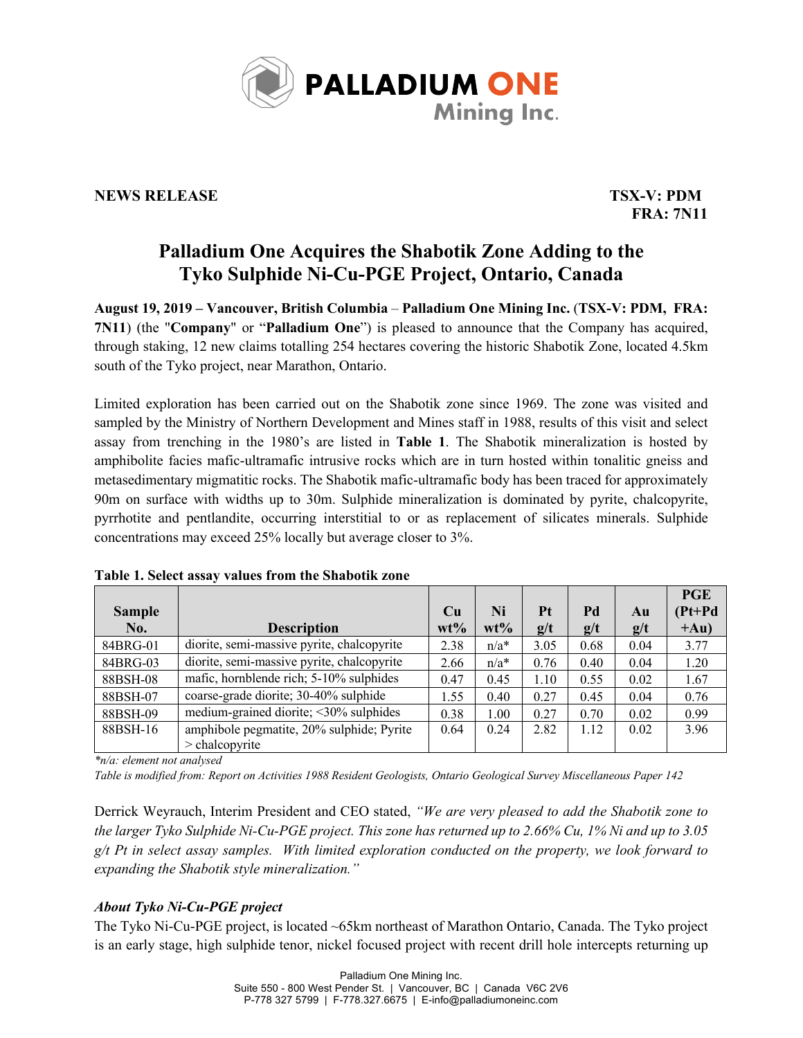

## **NEWS RELEASE TSX-V: PDM**

**FRA: 7N11**

# **Palladium One Acquires the Shabotik Zone Adding to the Tyko Sulphide Ni-Cu-PGE Project, Ontario, Canada**

**August 19, 2019 – Vancouver, British Columbia** – **Palladium One Mining Inc.** (**TSX-V: PDM, FRA: 7N11**) (the "**Company**" or "**Palladium One**") is pleased to announce that the Company has acquired, through staking, 12 new claims totalling 254 hectares covering the historic Shabotik Zone, located 4.5km south of the Tyko project, near Marathon, Ontario.

Limited exploration has been carried out on the Shabotik zone since 1969. The zone was visited and sampled by the Ministry of Northern Development and Mines staff in 1988, results of this visit and select assay from trenching in the 1980's are listed in **Table 1**. The Shabotik mineralization is hosted by amphibolite facies mafic-ultramafic intrusive rocks which are in turn hosted within tonalitic gneiss and metasedimentary migmatitic rocks. The Shabotik mafic-ultramafic body has been traced for approximately 90m on surface with widths up to 30m. Sulphide mineralization is dominated by pyrite, chalcopyrite, pyrrhotite and pentlandite, occurring interstitial to or as replacement of silicates minerals. Sulphide concentrations may exceed 25% locally but average closer to 3%.

|               |                                            |           |         |      |      |      | <b>PGE</b> |
|---------------|--------------------------------------------|-----------|---------|------|------|------|------------|
| <b>Sample</b> |                                            | <b>Cu</b> | Ni      | Pt   | Pd   | Au   | $(Pt+Pd)$  |
| No.           | <b>Description</b>                         | $wt\%$    | $wt\%$  | g/t  | g/t  | g/t  | $+Au)$     |
| 84BRG-01      | diorite, semi-massive pyrite, chalcopyrite | 2.38      | $n/a^*$ | 3.05 | 0.68 | 0.04 | 3.77       |
| 84BRG-03      | diorite, semi-massive pyrite, chalcopyrite | 2.66      | $n/a^*$ | 0.76 | 0.40 | 0.04 | 1.20       |
| 88BSH-08      | mafic, hornblende rich; 5-10% sulphides    | 0.47      | 0.45    | 1.10 | 0.55 | 0.02 | 1.67       |
| 88BSH-07      | coarse-grade diorite; 30-40% sulphide      | 1.55      | 0.40    | 0.27 | 0.45 | 0.04 | 0.76       |
| 88BSH-09      | medium-grained diorite; <30% sulphides     | 0.38      | 1.00    | 0.27 | 0.70 | 0.02 | 0.99       |
| 88BSH-16      | amphibole pegmatite, 20% sulphide; Pyrite  | 0.64      | 0.24    | 2.82 | 1.12 | 0.02 | 3.96       |
|               | $>$ chalcopyrite                           |           |         |      |      |      |            |

**Table 1. Select assay values from the Shabotik zone**

*\*n/a: element not analysed*

*Table is modified from: Report on Activities 1988 Resident Geologists, Ontario Geological Survey Miscellaneous Paper 142*

Derrick Weyrauch, Interim President and CEO stated, *"We are very pleased to add the Shabotik zone to the larger Tyko Sulphide Ni-Cu-PGE project. This zone has returned up to 2.66% Cu, 1% Ni and up to 3.05 g/t Pt in select assay samples. With limited exploration conducted on the property, we look forward to expanding the Shabotik style mineralization."*

## *About Tyko Ni-Cu-PGE project*

The Tyko Ni-Cu-PGE project, is located ~65km northeast of Marathon Ontario, Canada. The Tyko project is an early stage, high sulphide tenor, nickel focused project with recent drill hole intercepts returning up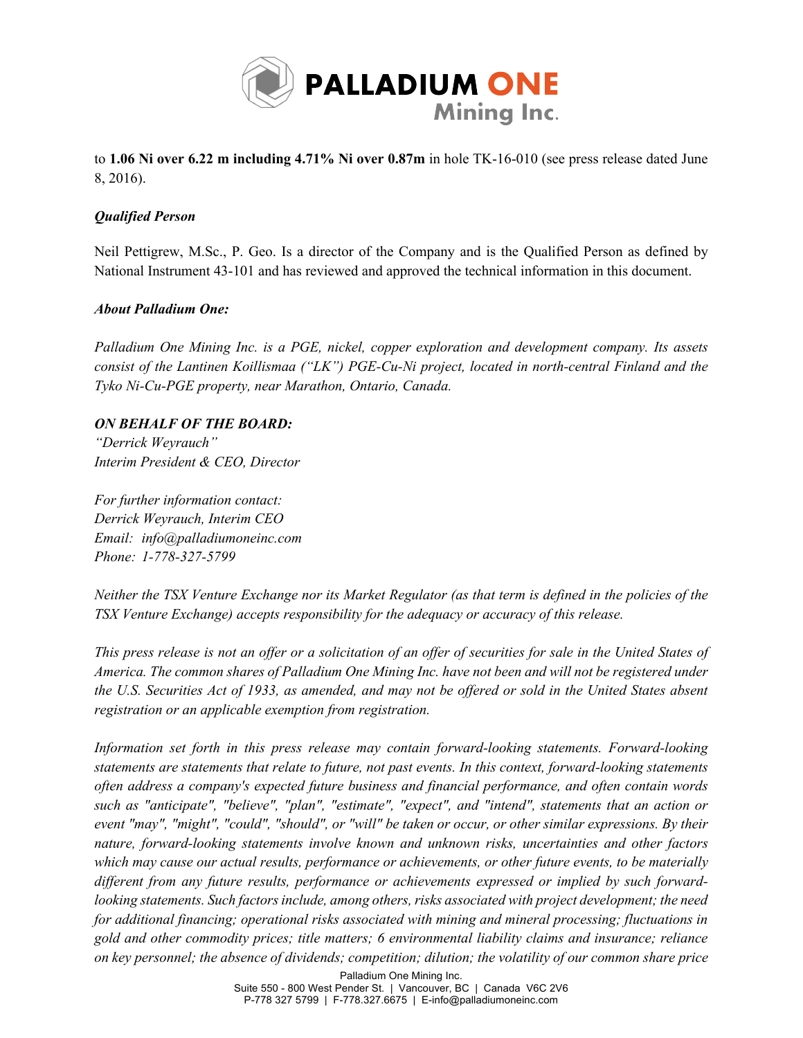

to **1.06 Ni over 6.22 m including 4.71% Ni over 0.87m** in hole TK-16-010 (see press release dated June 8, 2016).

## *Qualified Person*

Neil Pettigrew, M.Sc., P. Geo. Is a director of the Company and is the Qualified Person as defined by National Instrument 43-101 and has reviewed and approved the technical information in this document.

#### *About Palladium One:*

*Palladium One Mining Inc. is a PGE, nickel, copper exploration and development company. Its assets consist of the Lantinen Koillismaa ("LK") PGE-Cu-Ni project, located in north-central Finland and the Tyko Ni-Cu-PGE property, near Marathon, Ontario, Canada.*

#### *ON BEHALF OF THE BOARD:*

*"Derrick Weyrauch" Interim President & CEO, Director*

*For further information contact: Derrick Weyrauch, Interim CEO Email: info@palladiumoneinc.com Phone: 1-778-327-5799*

*Neither the TSX Venture Exchange nor its Market Regulator (as that term is defined in the policies of the TSX Venture Exchange) accepts responsibility for the adequacy or accuracy of this release.*

*This press release is not an offer or a solicitation of an offer of securities for sale in the United States of America. The common shares of Palladium One Mining Inc. have not been and will not be registered under the U.S. Securities Act of 1933, as amended, and may not be offered or sold in the United States absent registration or an applicable exemption from registration.*

*Information set forth in this press release may contain forward-looking statements. Forward-looking statements are statements that relate to future, not past events. In this context, forward-looking statements often address a company's expected future business and financial performance, and often contain words such as "anticipate", "believe", "plan", "estimate", "expect", and "intend", statements that an action or event "may", "might", "could", "should", or "will" be taken or occur, or other similar expressions. By their nature, forward-looking statements involve known and unknown risks, uncertainties and other factors which may cause our actual results, performance or achievements, or other future events, to be materially different from any future results, performance or achievements expressed or implied by such forwardlooking statements. Such factors include, among others, risks associated with project development; the need for additional financing; operational risks associated with mining and mineral processing; fluctuations in gold and other commodity prices; title matters; 6 environmental liability claims and insurance; reliance on key personnel; the absence of dividends; competition; dilution; the volatility of our common share price*